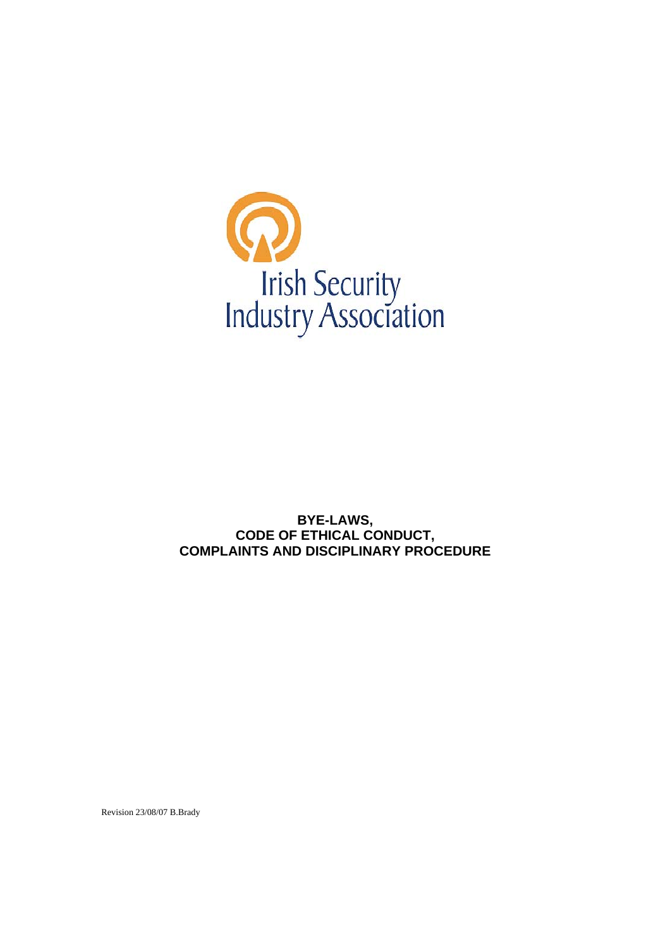

**BYE-LAWS, CODE OF ETHICAL CONDUCT, COMPLAINTS AND DISCIPLINARY PROCEDURE** 

Revision 23/08/07 B.Brady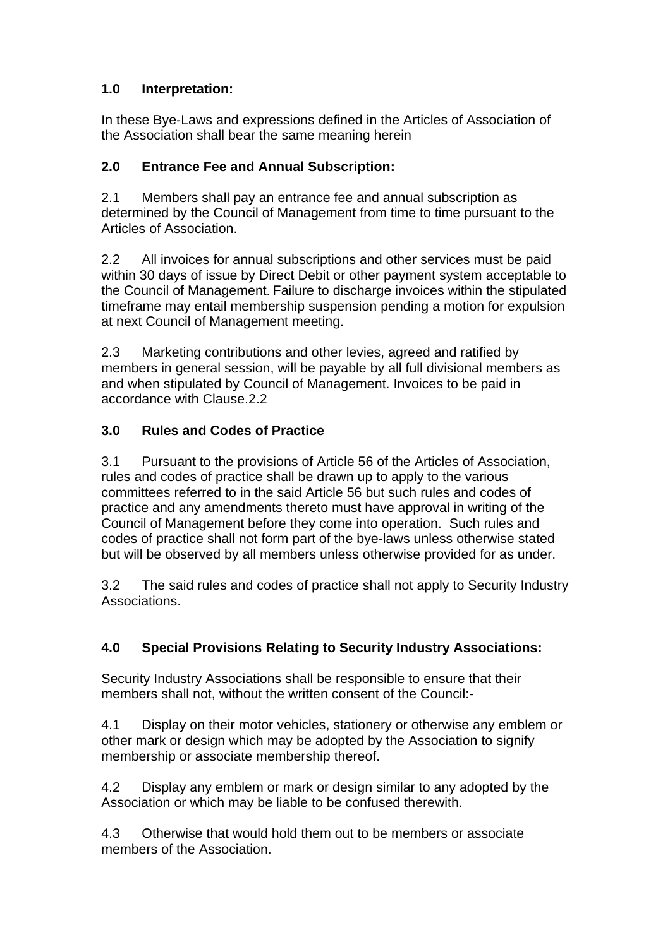## **1.0 Interpretation:**

In these Bye-Laws and expressions defined in the Articles of Association of the Association shall bear the same meaning herein

#### **2.0 Entrance Fee and Annual Subscription:**

2.1 Members shall pay an entrance fee and annual subscription as determined by the Council of Management from time to time pursuant to the Articles of Association.

2.2 All invoices for annual subscriptions and other services must be paid within 30 days of issue by Direct Debit or other payment system acceptable to the Council of Management. Failure to discharge invoices within the stipulated timeframe may entail membership suspension pending a motion for expulsion at next Council of Management meeting.

2.3 Marketing contributions and other levies, agreed and ratified by members in general session, will be payable by all full divisional members as and when stipulated by Council of Management. Invoices to be paid in accordance with Clause.2.2

### **3.0 Rules and Codes of Practice**

3.1 Pursuant to the provisions of Article 56 of the Articles of Association, rules and codes of practice shall be drawn up to apply to the various committees referred to in the said Article 56 but such rules and codes of practice and any amendments thereto must have approval in writing of the Council of Management before they come into operation. Such rules and codes of practice shall not form part of the bye-laws unless otherwise stated but will be observed by all members unless otherwise provided for as under.

3.2 The said rules and codes of practice shall not apply to Security Industry Associations.

## **4.0 Special Provisions Relating to Security Industry Associations:**

Security Industry Associations shall be responsible to ensure that their members shall not, without the written consent of the Council:-

4.1 Display on their motor vehicles, stationery or otherwise any emblem or other mark or design which may be adopted by the Association to signify membership or associate membership thereof.

4.2 Display any emblem or mark or design similar to any adopted by the Association or which may be liable to be confused therewith.

4.3 Otherwise that would hold them out to be members or associate members of the Association.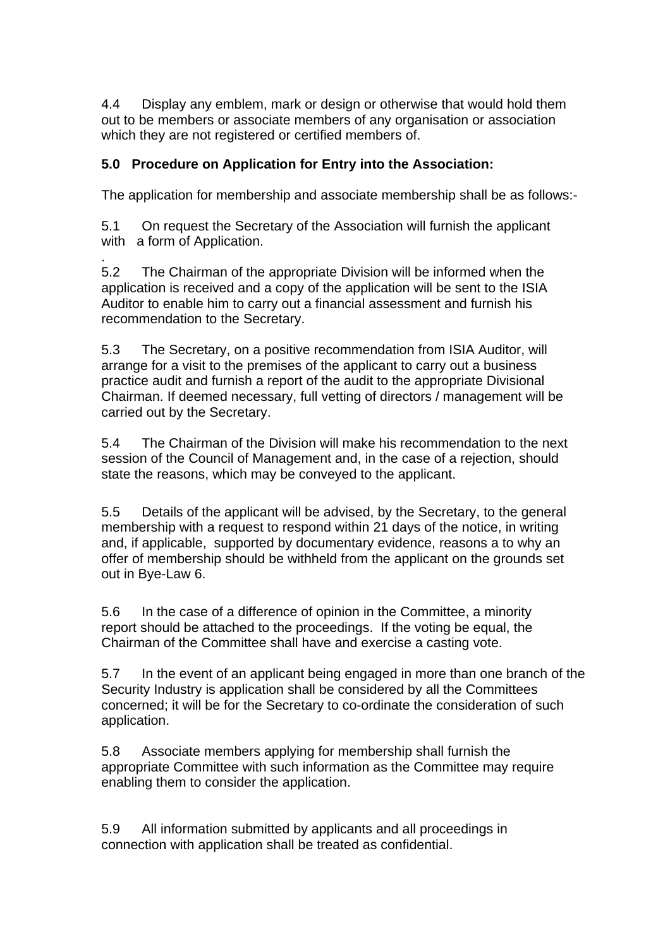4.4 Display any emblem, mark or design or otherwise that would hold them out to be members or associate members of any organisation or association which they are not registered or certified members of.

#### **5.0 Procedure on Application for Entry into the Association:**

The application for membership and associate membership shall be as follows:-

5.1 On request the Secretary of the Association will furnish the applicant with a form of Application.

. 5.2 The Chairman of the appropriate Division will be informed when the application is received and a copy of the application will be sent to the ISIA Auditor to enable him to carry out a financial assessment and furnish his recommendation to the Secretary.

5.3 The Secretary, on a positive recommendation from ISIA Auditor, will arrange for a visit to the premises of the applicant to carry out a business practice audit and furnish a report of the audit to the appropriate Divisional Chairman. If deemed necessary, full vetting of directors / management will be carried out by the Secretary.

5.4 The Chairman of the Division will make his recommendation to the next session of the Council of Management and, in the case of a rejection, should state the reasons, which may be conveyed to the applicant.

5.5 Details of the applicant will be advised, by the Secretary, to the general membership with a request to respond within 21 days of the notice, in writing and, if applicable, supported by documentary evidence, reasons a to why an offer of membership should be withheld from the applicant on the grounds set out in Bye-Law 6.

5.6 In the case of a difference of opinion in the Committee, a minority report should be attached to the proceedings. If the voting be equal, the Chairman of the Committee shall have and exercise a casting vote.

5.7 In the event of an applicant being engaged in more than one branch of the Security Industry is application shall be considered by all the Committees concerned; it will be for the Secretary to co-ordinate the consideration of such application.

5.8 Associate members applying for membership shall furnish the appropriate Committee with such information as the Committee may require enabling them to consider the application.

5.9 All information submitted by applicants and all proceedings in connection with application shall be treated as confidential.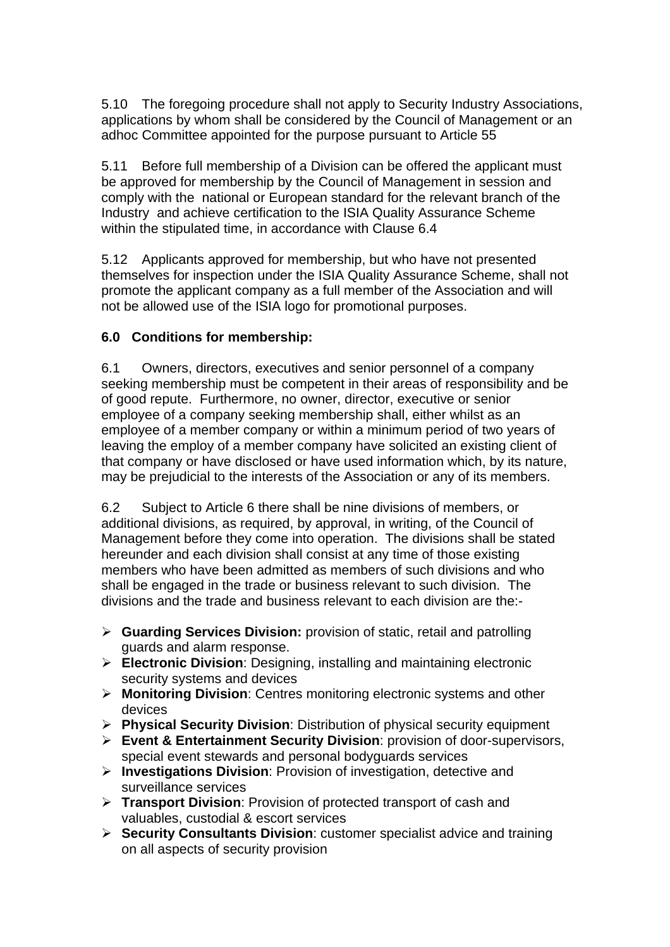5.10 The foregoing procedure shall not apply to Security Industry Associations, applications by whom shall be considered by the Council of Management or an adhoc Committee appointed for the purpose pursuant to Article 55

5.11 Before full membership of a Division can be offered the applicant must be approved for membership by the Council of Management in session and comply with the national or European standard for the relevant branch of the Industry and achieve certification to the ISIA Quality Assurance Scheme within the stipulated time, in accordance with Clause 6.4

5.12 Applicants approved for membership, but who have not presented themselves for inspection under the ISIA Quality Assurance Scheme, shall not promote the applicant company as a full member of the Association and will not be allowed use of the ISIA logo for promotional purposes.

### **6.0 Conditions for membership:**

6.1 Owners, directors, executives and senior personnel of a company seeking membership must be competent in their areas of responsibility and be of good repute. Furthermore, no owner, director, executive or senior employee of a company seeking membership shall, either whilst as an employee of a member company or within a minimum period of two years of leaving the employ of a member company have solicited an existing client of that company or have disclosed or have used information which, by its nature, may be prejudicial to the interests of the Association or any of its members.

6.2 Subject to Article 6 there shall be nine divisions of members, or additional divisions, as required, by approval, in writing, of the Council of Management before they come into operation. The divisions shall be stated hereunder and each division shall consist at any time of those existing members who have been admitted as members of such divisions and who shall be engaged in the trade or business relevant to such division. The divisions and the trade and business relevant to each division are the:-

- ¾ **Guarding Services Division:** provision of static, retail and patrolling guards and alarm response.
- ¾ **Electronic Division**: Designing, installing and maintaining electronic security systems and devices
- ¾ **Monitoring Division**: Centres monitoring electronic systems and other devices
- ¾ **Physical Security Division**: Distribution of physical security equipment
- ¾ **Event & Entertainment Security Division**: provision of door-supervisors, special event stewards and personal bodyguards services
- ¾ **Investigations Division**: Provision of investigation, detective and surveillance services
- ¾ **Transport Division**: Provision of protected transport of cash and valuables, custodial & escort services
- ¾ **Security Consultants Division**: customer specialist advice and training on all aspects of security provision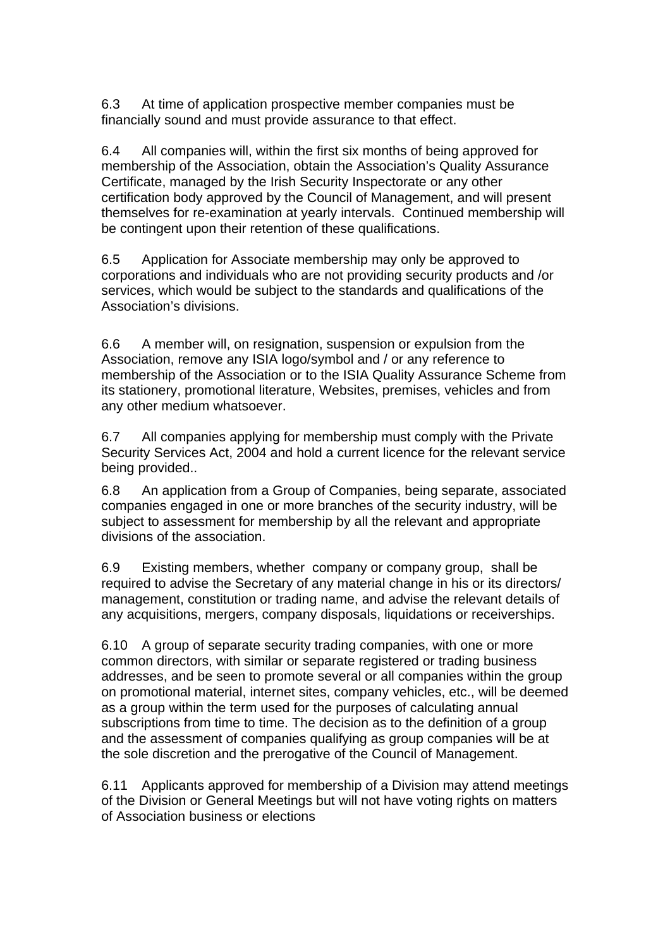6.3 At time of application prospective member companies must be financially sound and must provide assurance to that effect.

6.4 All companies will, within the first six months of being approved for membership of the Association, obtain the Association's Quality Assurance Certificate, managed by the Irish Security Inspectorate or any other certification body approved by the Council of Management, and will present themselves for re-examination at yearly intervals. Continued membership will be contingent upon their retention of these qualifications.

6.5 Application for Associate membership may only be approved to corporations and individuals who are not providing security products and /or services, which would be subject to the standards and qualifications of the Association's divisions.

6.6 A member will, on resignation, suspension or expulsion from the Association, remove any ISIA logo/symbol and / or any reference to membership of the Association or to the ISIA Quality Assurance Scheme from its stationery, promotional literature, Websites, premises, vehicles and from any other medium whatsoever.

6.7 All companies applying for membership must comply with the Private Security Services Act, 2004 and hold a current licence for the relevant service being provided..

6.8 An application from a Group of Companies, being separate, associated companies engaged in one or more branches of the security industry, will be subject to assessment for membership by all the relevant and appropriate divisions of the association.

6.9 Existing members, whether company or company group, shall be required to advise the Secretary of any material change in his or its directors/ management, constitution or trading name, and advise the relevant details of any acquisitions, mergers, company disposals, liquidations or receiverships.

6.10 A group of separate security trading companies, with one or more common directors, with similar or separate registered or trading business addresses, and be seen to promote several or all companies within the group on promotional material, internet sites, company vehicles, etc., will be deemed as a group within the term used for the purposes of calculating annual subscriptions from time to time. The decision as to the definition of a group and the assessment of companies qualifying as group companies will be at the sole discretion and the prerogative of the Council of Management.

6.11 Applicants approved for membership of a Division may attend meetings of the Division or General Meetings but will not have voting rights on matters of Association business or elections